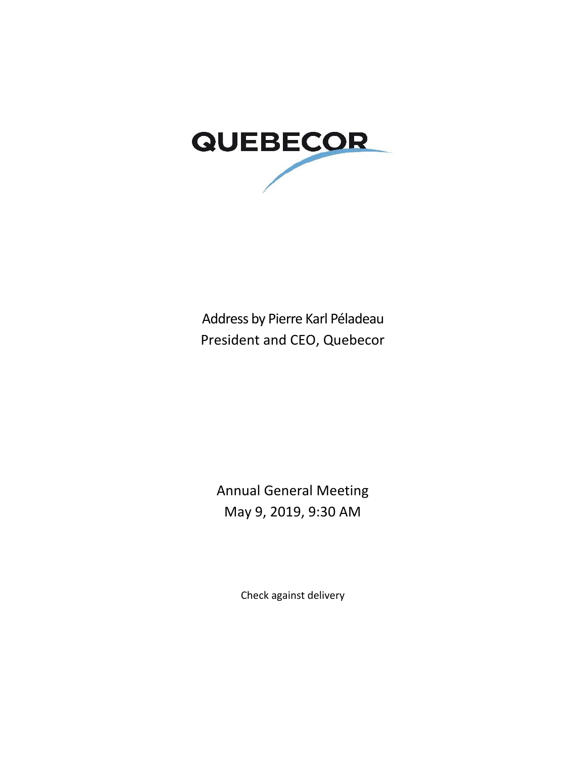

Address by Pierre Karl Péladeau President and CEO, Quebecor

Annual General Meeting May 9, 2019, 9:30 AM

Check against delivery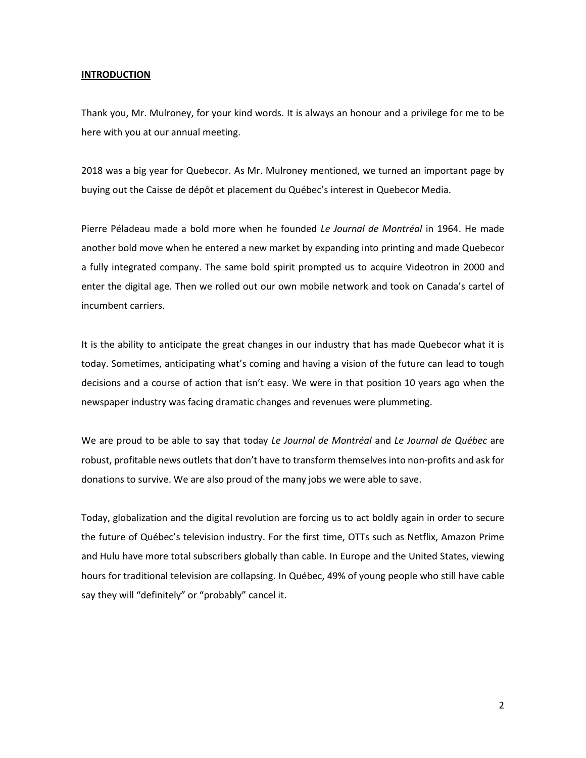#### **INTRODUCTION**

Thank you, Mr. Mulroney, for your kind words. It is always an honour and a privilege for me to be here with you at our annual meeting.

2018 was a big year for Quebecor. As Mr. Mulroney mentioned, we turned an important page by buying out the Caisse de dépôt et placement du Québec's interest in Quebecor Media.

Pierre Péladeau made a bold more when he founded *Le Journal de Montréal* in 1964. He made another bold move when he entered a new market by expanding into printing and made Quebecor a fully integrated company. The same bold spirit prompted us to acquire Videotron in 2000 and enter the digital age. Then we rolled out our own mobile network and took on Canada's cartel of incumbent carriers.

It is the ability to anticipate the great changes in our industry that has made Quebecor what it is today. Sometimes, anticipating what's coming and having a vision of the future can lead to tough decisions and a course of action that isn't easy. We were in that position 10 years ago when the newspaper industry was facing dramatic changes and revenues were plummeting.

We are proud to be able to say that today *Le Journal de Montréal* and *Le Journal de Québec* are robust, profitable news outlets that don't have to transform themselves into non-profits and ask for donations to survive. We are also proud of the many jobs we were able to save.

Today, globalization and the digital revolution are forcing us to act boldly again in order to secure the future of Québec's television industry. For the first time, OTTs such as Netflix, Amazon Prime and Hulu have more total subscribers globally than cable. In Europe and the United States, viewing hours for traditional television are collapsing. In Québec, 49% of young people who still have cable say they will "definitely" or "probably" cancel it.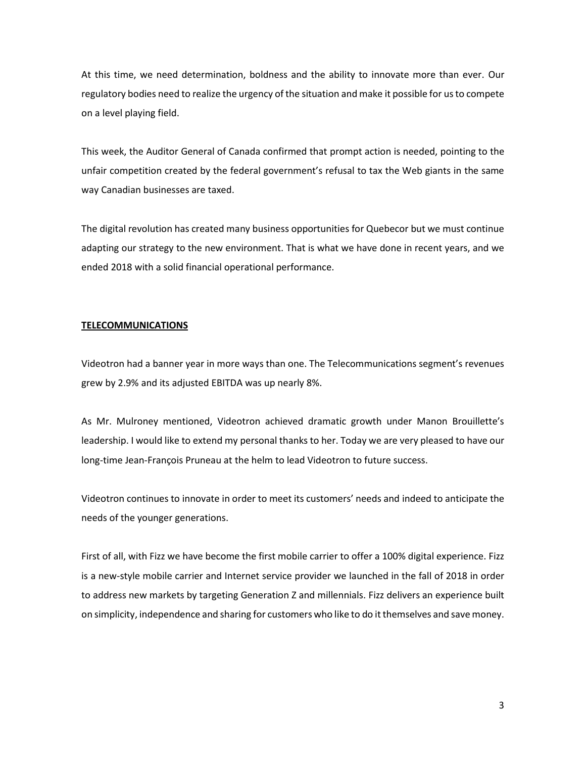At this time, we need determination, boldness and the ability to innovate more than ever. Our regulatory bodies need to realize the urgency of the situation and make it possible for us to compete on a level playing field.

This week, the Auditor General of Canada confirmed that prompt action is needed, pointing to the unfair competition created by the federal government's refusal to tax the Web giants in the same way Canadian businesses are taxed.

The digital revolution has created many business opportunities for Quebecor but we must continue adapting our strategy to the new environment. That is what we have done in recent years, and we ended 2018 with a solid financial operational performance.

# **TELECOMMUNICATIONS**

Videotron had a banner year in more ways than one. The Telecommunications segment's revenues grew by 2.9% and its adjusted EBITDA was up nearly 8%.

As Mr. Mulroney mentioned, Videotron achieved dramatic growth under Manon Brouillette's leadership. I would like to extend my personal thanks to her. Today we are very pleased to have our long-time Jean-François Pruneau at the helm to lead Videotron to future success.

Videotron continues to innovate in order to meet its customers' needs and indeed to anticipate the needs of the younger generations.

First of all, with Fizz we have become the first mobile carrier to offer a 100% digital experience. Fizz is a new-style mobile carrier and Internet service provider we launched in the fall of 2018 in order to address new markets by targeting Generation Z and millennials. Fizz delivers an experience built on simplicity, independence and sharing for customers who like to do it themselves and save money.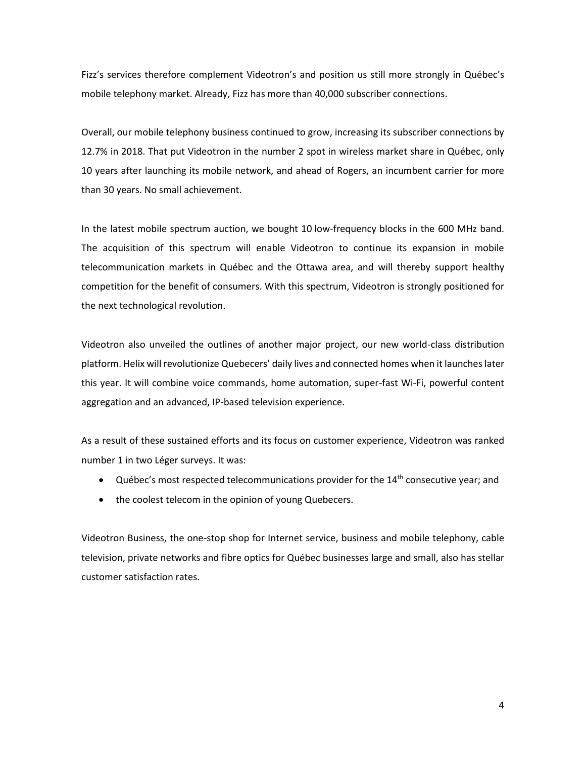Fizz's services therefore complement Videotron's and position us still more strongly in Québec's mobile telephony market. Already, Fizz has more than 40,000 subscriber connections.

Overall, our mobile telephony business continued to grow, increasing its subscriber connections by 12.7% in 2018. That put Videotron in the number 2 spot in wireless market share in Québec, only 10 years after launching its mobile network, and ahead of Rogers, an incumbent carrier for more than 30 years. No small achievement.

In the latest mobile spectrum auction, we bought 10 low-frequency blocks in the 600 MHz band. The acquisition of this spectrum will enable Videotron to continue its expansion in mobile telecommunication markets in Québec and the Ottawa area, and will thereby support healthy competition for the benefit of consumers. With this spectrum, Videotron is strongly positioned for the next technological revolution.

Videotron also unveiled the outlines of another major project, our new world-class distribution platform. Helix will revolutionize Quebecers' daily lives and connected homes when it launches later this year. It will combine voice commands, home automation, super-fast Wi-Fi, powerful content aggregation and an advanced, IP-based television experience.

As a result of these sustained efforts and its focus on customer experience, Videotron was ranked number 1 in two Léger surveys. It was:

- Québec's most respected telecommunications provider for the  $14<sup>th</sup>$  consecutive year; and
- the coolest telecom in the opinion of young Quebecers.

Videotron Business, the one-stop shop for Internet service, business and mobile telephony, cable television, private networks and fibre optics for Québec businesses large and small, also has stellar customer satisfaction rates.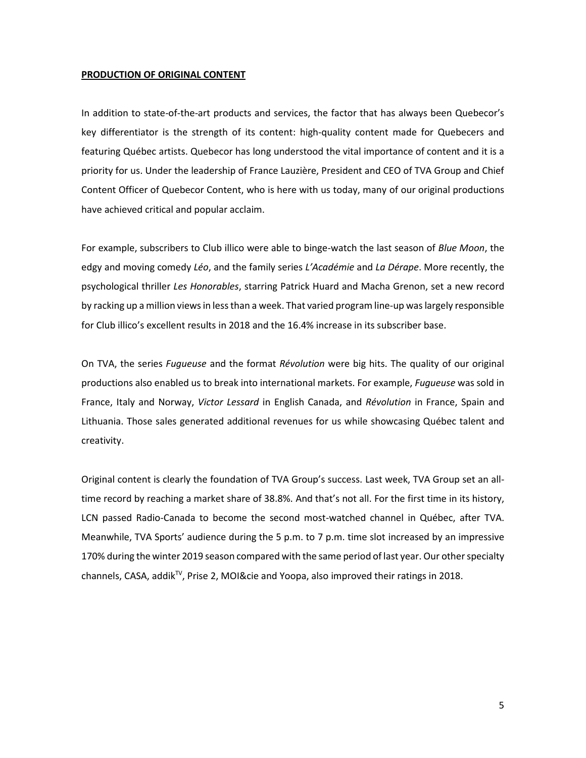#### **PRODUCTION OF ORIGINAL CONTENT**

In addition to state-of-the-art products and services, the factor that has always been Quebecor's key differentiator is the strength of its content: high-quality content made for Quebecers and featuring Québec artists. Quebecor has long understood the vital importance of content and it is a priority for us. Under the leadership of France Lauzière, President and CEO of TVA Group and Chief Content Officer of Quebecor Content, who is here with us today, many of our original productions have achieved critical and popular acclaim.

For example, subscribers to Club illico were able to binge-watch the last season of *Blue Moon*, the edgy and moving comedy *Léo*, and the family series *L'Académie* and *La Dérape*. More recently, the psychological thriller *Les Honorables*, starring Patrick Huard and Macha Grenon, set a new record by racking up a million views in less than a week. That varied program line-up was largely responsible for Club illico's excellent results in 2018 and the 16.4% increase in its subscriber base.

On TVA, the series *Fugueuse* and the format *Révolution* were big hits. The quality of our original productions also enabled us to break into international markets. For example, *Fugueuse* was sold in France, Italy and Norway, *Victor Lessard* in English Canada, and *Révolution* in France, Spain and Lithuania. Those sales generated additional revenues for us while showcasing Québec talent and creativity.

Original content is clearly the foundation of TVA Group's success. Last week, TVA Group set an alltime record by reaching a market share of 38.8%. And that's not all. For the first time in its history, LCN passed Radio-Canada to become the second most-watched channel in Québec, after TVA. Meanwhile, TVA Sports' audience during the 5 p.m. to 7 p.m. time slot increased by an impressive 170% during the winter 2019 season compared with the same period of last year. Our other specialty channels, CASA, addik<sup>TV</sup>, Prise 2, MOI&cie and Yoopa, also improved their ratings in 2018.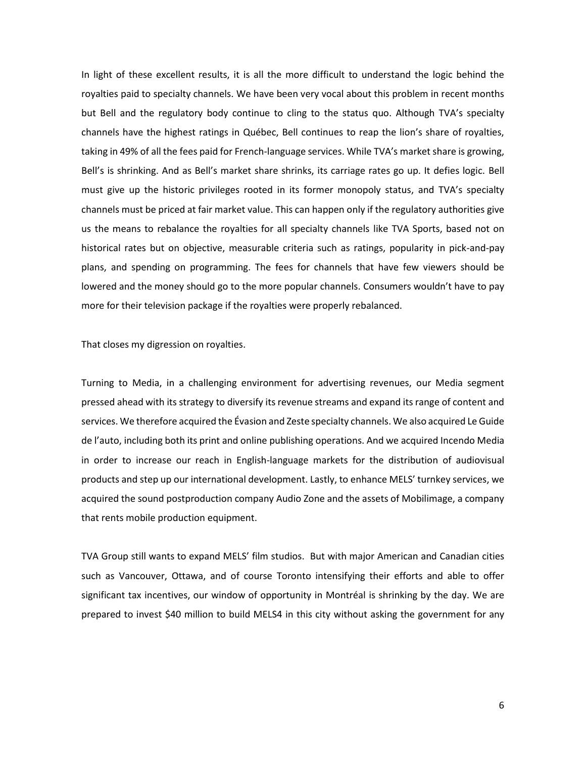In light of these excellent results, it is all the more difficult to understand the logic behind the royalties paid to specialty channels. We have been very vocal about this problem in recent months but Bell and the regulatory body continue to cling to the status quo. Although TVA's specialty channels have the highest ratings in Québec, Bell continues to reap the lion's share of royalties, taking in 49% of all the fees paid for French-language services. While TVA's market share is growing, Bell's is shrinking. And as Bell's market share shrinks, its carriage rates go up. It defies logic. Bell must give up the historic privileges rooted in its former monopoly status, and TVA's specialty channels must be priced at fair market value. This can happen only if the regulatory authorities give us the means to rebalance the royalties for all specialty channels like TVA Sports, based not on historical rates but on objective, measurable criteria such as ratings, popularity in pick-and-pay plans, and spending on programming. The fees for channels that have few viewers should be lowered and the money should go to the more popular channels. Consumers wouldn't have to pay more for their television package if the royalties were properly rebalanced.

That closes my digression on royalties.

Turning to Media, in a challenging environment for advertising revenues, our Media segment pressed ahead with its strategy to diversify its revenue streams and expand its range of content and services. We therefore acquired the Évasion and Zeste specialty channels. We also acquired Le Guide de l'auto, including both its print and online publishing operations. And we acquired Incendo Media in order to increase our reach in English-language markets for the distribution of audiovisual products and step up our international development. Lastly, to enhance MELS' turnkey services, we acquired the sound postproduction company Audio Zone and the assets of Mobilimage, a company that rents mobile production equipment.

TVA Group still wants to expand MELS' film studios. But with major American and Canadian cities such as Vancouver, Ottawa, and of course Toronto intensifying their efforts and able to offer significant tax incentives, our window of opportunity in Montréal is shrinking by the day. We are prepared to invest \$40 million to build MELS4 in this city without asking the government for any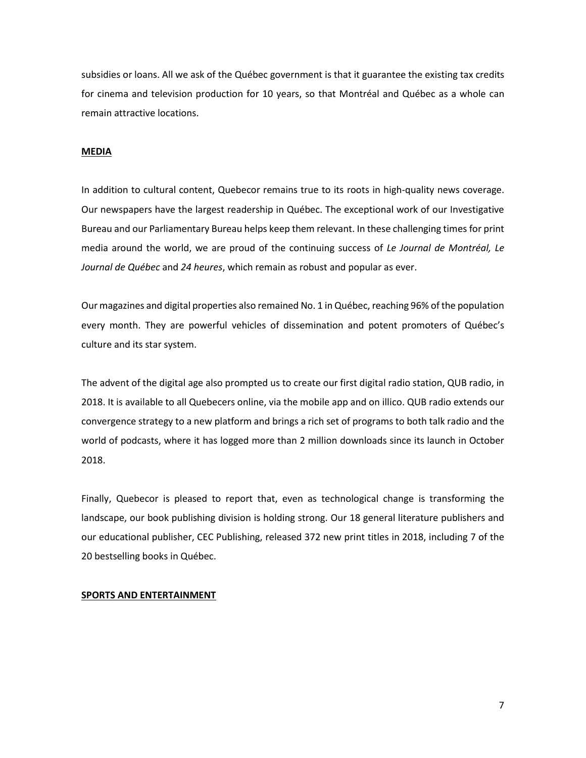subsidies or loans. All we ask of the Québec government is that it guarantee the existing tax credits for cinema and television production for 10 years, so that Montréal and Québec as a whole can remain attractive locations.

## **MEDIA**

In addition to cultural content, Quebecor remains true to its roots in high-quality news coverage. Our newspapers have the largest readership in Québec. The exceptional work of our Investigative Bureau and our Parliamentary Bureau helps keep them relevant. In these challenging times for print media around the world, we are proud of the continuing success of *Le Journal de Montréal, Le Journal de Québec* and *24 heures*, which remain as robust and popular as ever.

Our magazines and digital properties also remained No. 1 in Québec, reaching 96% of the population every month. They are powerful vehicles of dissemination and potent promoters of Québec's culture and its star system.

The advent of the digital age also prompted us to create our first digital radio station, QUB radio, in 2018. It is available to all Quebecers online, via the mobile app and on illico. QUB radio extends our convergence strategy to a new platform and brings a rich set of programs to both talk radio and the world of podcasts, where it has logged more than 2 million downloads since its launch in October 2018.

Finally, Quebecor is pleased to report that, even as technological change is transforming the landscape, our book publishing division is holding strong. Our 18 general literature publishers and our educational publisher, CEC Publishing, released 372 new print titles in 2018, including 7 of the 20 bestselling books in Québec.

## **SPORTS AND ENTERTAINMENT**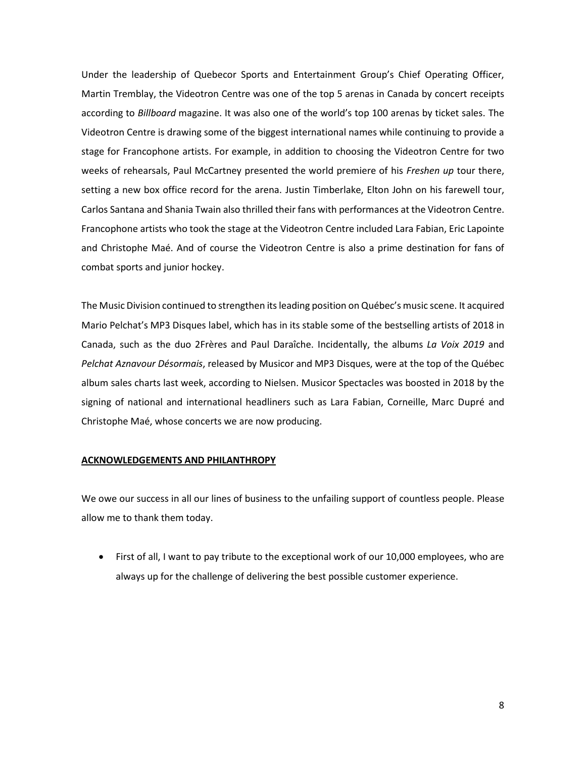Under the leadership of Quebecor Sports and Entertainment Group's Chief Operating Officer, Martin Tremblay, the Videotron Centre was one of the top 5 arenas in Canada by concert receipts according to *Billboard* magazine. It was also one of the world's top 100 arenas by ticket sales. The Videotron Centre is drawing some of the biggest international names while continuing to provide a stage for Francophone artists. For example, in addition to choosing the Videotron Centre for two weeks of rehearsals, Paul McCartney presented the world premiere of his *Freshen up* tour there, setting a new box office record for the arena. Justin Timberlake, Elton John on his farewell tour, Carlos Santana and Shania Twain also thrilled their fans with performances at the Videotron Centre. Francophone artists who took the stage at the Videotron Centre included Lara Fabian, Eric Lapointe and Christophe Maé. And of course the Videotron Centre is also a prime destination for fans of combat sports and junior hockey.

The Music Division continued to strengthen its leading position on Québec's music scene. It acquired Mario Pelchat's MP3 Disques label, which has in its stable some of the bestselling artists of 2018 in Canada, such as the duo 2Frères and Paul Daraîche. Incidentally, the albums *La Voix 2019* and *Pelchat Aznavour Désormais*, released by Musicor and MP3 Disques, were at the top of the Québec album sales charts last week, according to Nielsen. Musicor Spectacles was boosted in 2018 by the signing of national and international headliners such as Lara Fabian, Corneille, Marc Dupré and Christophe Maé, whose concerts we are now producing.

## **ACKNOWLEDGEMENTS AND PHILANTHROPY**

We owe our success in all our lines of business to the unfailing support of countless people. Please allow me to thank them today.

• First of all, I want to pay tribute to the exceptional work of our 10,000 employees, who are always up for the challenge of delivering the best possible customer experience.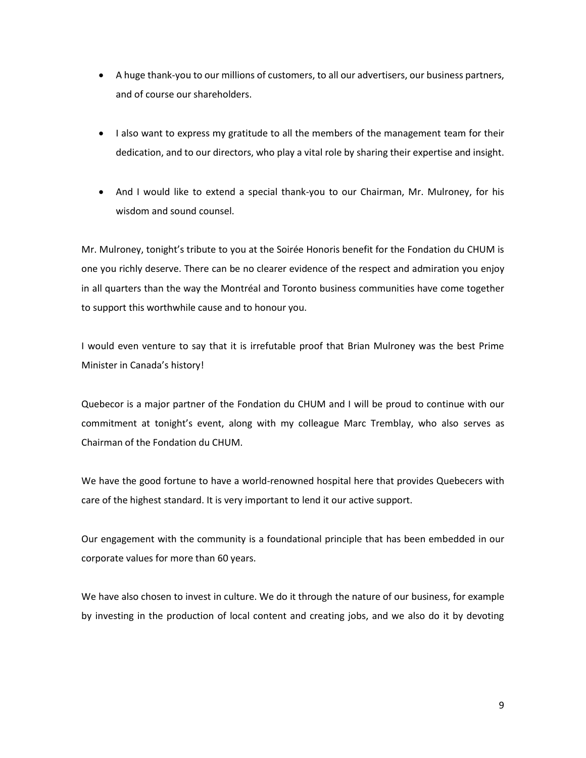- A huge thank-you to our millions of customers, to all our advertisers, our business partners, and of course our shareholders.
- I also want to express my gratitude to all the members of the management team for their dedication, and to our directors, who play a vital role by sharing their expertise and insight.
- And I would like to extend a special thank-you to our Chairman, Mr. Mulroney, for his wisdom and sound counsel.

Mr. Mulroney, tonight's tribute to you at the Soirée Honoris benefit for the Fondation du CHUM is one you richly deserve. There can be no clearer evidence of the respect and admiration you enjoy in all quarters than the way the Montréal and Toronto business communities have come together to support this worthwhile cause and to honour you.

I would even venture to say that it is irrefutable proof that Brian Mulroney was the best Prime Minister in Canada's history!

Quebecor is a major partner of the Fondation du CHUM and I will be proud to continue with our commitment at tonight's event, along with my colleague Marc Tremblay, who also serves as Chairman of the Fondation du CHUM.

We have the good fortune to have a world-renowned hospital here that provides Quebecers with care of the highest standard. It is very important to lend it our active support.

Our engagement with the community is a foundational principle that has been embedded in our corporate values for more than 60 years.

We have also chosen to invest in culture. We do it through the nature of our business, for example by investing in the production of local content and creating jobs, and we also do it by devoting